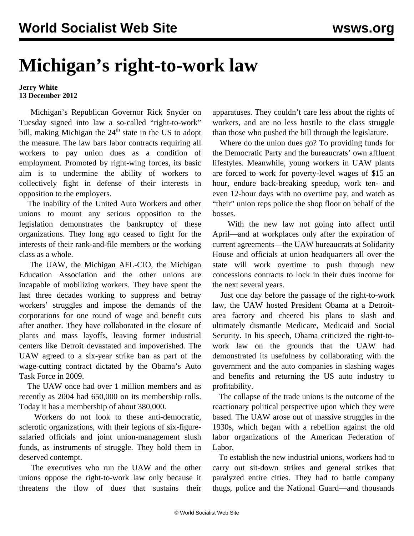## **Michigan's right-to-work law**

## **Jerry White 13 December 2012**

 Michigan's Republican Governor Rick Snyder on Tuesday signed into law a so-called "right-to-work" bill, making Michigan the  $24<sup>th</sup>$  state in the US to adopt the measure. The law bars labor contracts requiring all workers to pay union dues as a condition of employment. Promoted by right-wing forces, its basic aim is to undermine the ability of workers to collectively fight in defense of their interests in opposition to the employers.

 The inability of the United Auto Workers and other unions to mount any serious opposition to the legislation demonstrates the bankruptcy of these organizations. They long ago ceased to fight for the interests of their rank-and-file members or the working class as a whole.

 The UAW, the Michigan AFL-CIO, the Michigan Education Association and the other unions are incapable of mobilizing workers. They have spent the last three decades working to suppress and betray workers' struggles and impose the demands of the corporations for one round of wage and benefit cuts after another. They have collaborated in the closure of plants and mass layoffs, leaving former industrial centers like Detroit devastated and impoverished. The UAW agreed to a six-year strike ban as part of the wage-cutting contract dictated by the Obama's Auto Task Force in 2009.

 The UAW once had over 1 million members and as recently as 2004 had 650,000 on its membership rolls. Today it has a membership of about 380,000.

 Workers do not look to these anti-democratic, sclerotic organizations, with their legions of six-figuresalaried officials and joint union-management slush funds, as instruments of struggle. They hold them in deserved contempt.

 The executives who run the UAW and the other unions oppose the right-to-work law only because it threatens the flow of dues that sustains their

apparatuses. They couldn't care less about the rights of workers, and are no less hostile to the class struggle than those who pushed the bill through the legislature.

 Where do the union dues go? To providing funds for the Democratic Party and the bureaucrats' own affluent lifestyles. Meanwhile, young workers in UAW plants are forced to work for poverty-level wages of \$15 an hour, endure back-breaking speedup, work ten- and even 12-hour days with no overtime pay, and watch as "their" union reps police the shop floor on behalf of the bosses.

 With the new law not going into affect until April—and at workplaces only after the expiration of current agreements—the UAW bureaucrats at Solidarity House and officials at union headquarters all over the state will work overtime to push through new concessions contracts to lock in their dues income for the next several years.

 Just one day before the passage of the right-to-work law, the UAW hosted President Obama at a Detroitarea factory and cheered his plans to slash and ultimately dismantle Medicare, Medicaid and Social Security. In his speech, Obama criticized the right-towork law on the grounds that the UAW had demonstrated its usefulness by collaborating with the government and the auto companies in slashing wages and benefits and returning the US auto industry to profitability.

 The collapse of the trade unions is the outcome of the reactionary political perspective upon which they were based. The UAW arose out of massive struggles in the 1930s, which began with a rebellion against the old labor organizations of the American Federation of Labor.

 To establish the new industrial unions, workers had to carry out sit-down strikes and general strikes that paralyzed entire cities. They had to battle company thugs, police and the National Guard—and thousands